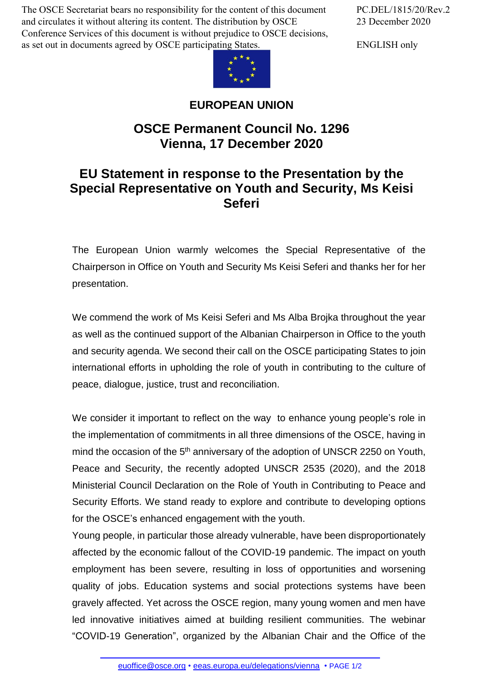The OSCE Secretariat bears no responsibility for the content of this document and circulates it without altering its content. The distribution by OSCE Conference Services of this document is without prejudice to OSCE decisions, as set out in documents agreed by OSCE participating States.



## **EUROPEAN UNION**

## **OSCE Permanent Council No. 1296 Vienna, 17 December 2020**

## **EU Statement in response to the Presentation by the Special Representative on Youth and Security, Ms Keisi Seferi**

The European Union warmly welcomes the Special Representative of the Chairperson in Office on Youth and Security Ms Keisi Seferi and thanks her for her presentation.

We commend the work of Ms Keisi Seferi and Ms Alba Brojka throughout the year as well as the continued support of the Albanian Chairperson in Office to the youth and security agenda. We second their call on the OSCE participating States to join international efforts in upholding the role of youth in contributing to the culture of peace, dialogue, justice, trust and reconciliation.

We consider it important to reflect on the way to enhance young people's role in the implementation of commitments in all three dimensions of the OSCE, having in mind the occasion of the 5<sup>th</sup> anniversary of the adoption of UNSCR 2250 on Youth, Peace and Security, the recently adopted UNSCR 2535 (2020), and the 2018 Ministerial Council Declaration on the Role of Youth in Contributing to Peace and Security Efforts. We stand ready to explore and contribute to developing options for the OSCE's enhanced engagement with the youth.

Young people, in particular those already vulnerable, have been disproportionately affected by the economic fallout of the COVID-19 pandemic. The impact on youth employment has been severe, resulting in loss of opportunities and worsening quality of jobs. Education systems and social protections systems have been gravely affected. Yet across the OSCE region, many young women and men have led innovative initiatives aimed at building resilient communities. The webinar "COVID-19 [Generation",](mailto:euoffice@osce.org) organized by the [Albanian](http://eeas.europa.eu/delegations/vienna) Chair and the Office of the

PC.DEL/1815/20/Rev.2 23 December 2020

ENGLISH only